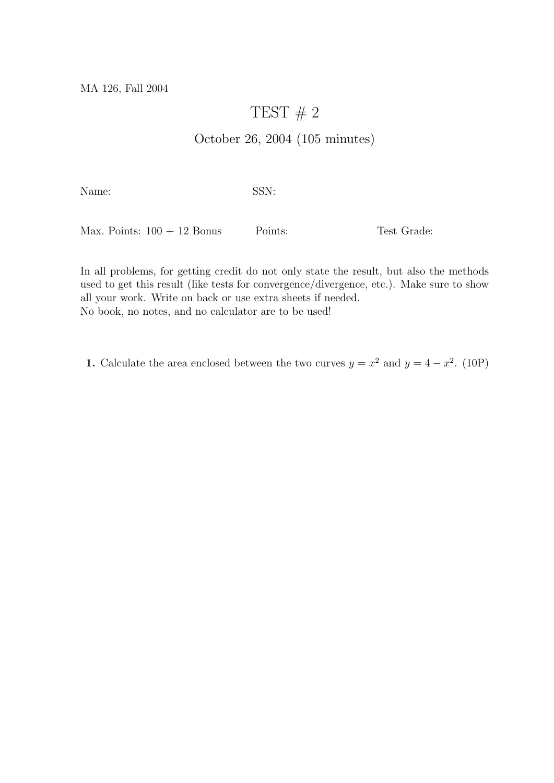MA 126, Fall 2004

## TEST  $# 2$

## October 26, 2004 (105 minutes)

Name: SSN:

Max. Points:  $100 + 12$  Bonus Points: Test Grade:

In all problems, for getting credit do not only state the result, but also the methods used to get this result (like tests for convergence/divergence, etc.). Make sure to show all your work. Write on back or use extra sheets if needed. No book, no notes, and no calculator are to be used!

1. Calculate the area enclosed between the two curves  $y = x^2$  and  $y = 4 - x^2$ . (10P)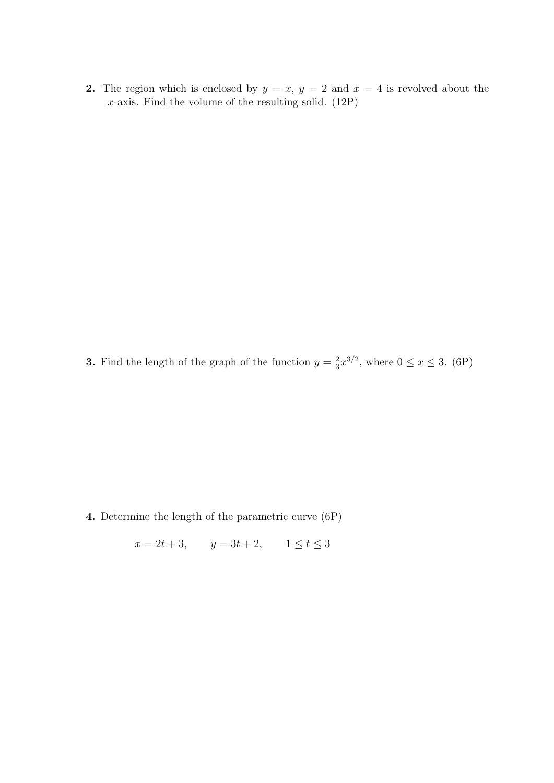2. The region which is enclosed by  $y = x$ ,  $y = 2$  and  $x = 4$  is revolved about the  $x$ -axis. Find the volume of the resulting solid.  $(12P)$ 

**3.** Find the length of the graph of the function  $y = \frac{2}{3}$  $\frac{2}{3}x^{3/2}$ , where  $0 \le x \le 3$ . (6P)

4. Determine the length of the parametric curve (6P)

$$
x = 2t + 3
$$
,  $y = 3t + 2$ ,  $1 \le t \le 3$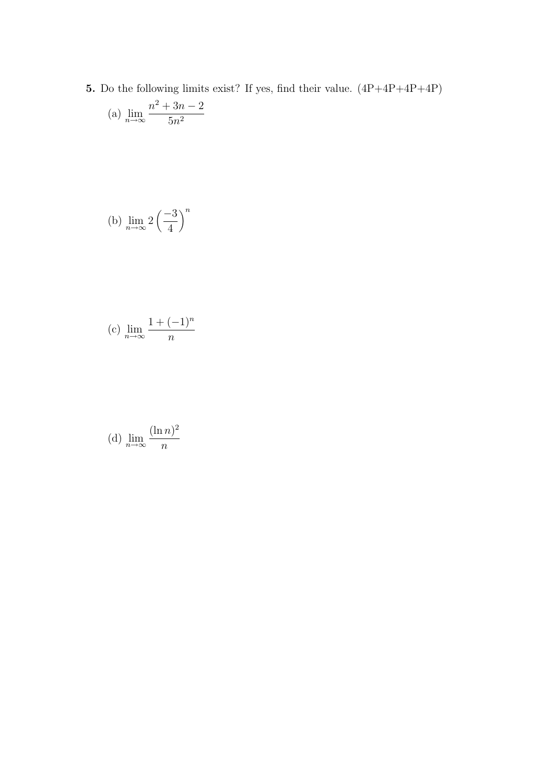5. Do the following limits exist? If yes, find their value.  $(4P+4P+4P+4P)$ 

(a) 
$$
\lim_{n \to \infty} \frac{n^2 + 3n - 2}{5n^2}
$$

(b) 
$$
\lim_{n \to \infty} 2\left(\frac{-3}{4}\right)^n
$$

(c) 
$$
\lim_{n \to \infty} \frac{1 + (-1)^n}{n}
$$

(d) 
$$
\lim_{n \to \infty} \frac{(\ln n)^2}{n}
$$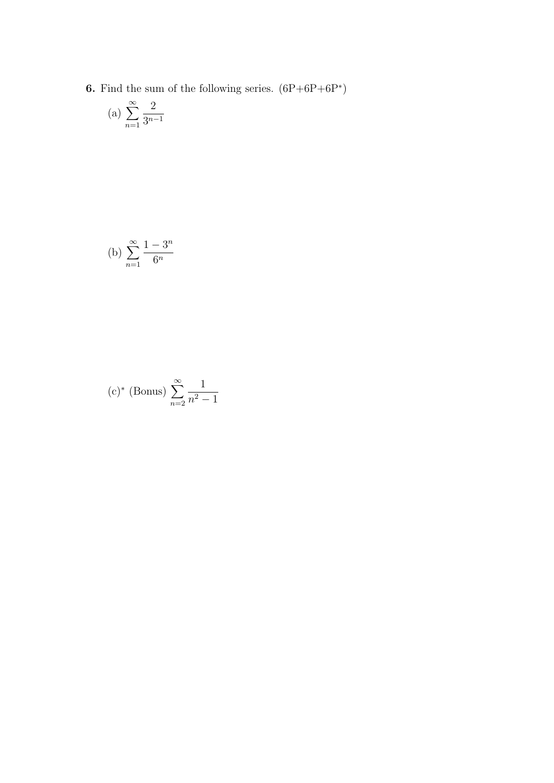**6.** Find the sum of the following series.  $(6P+6P+6P^*)$ 

(a) 
$$
\sum_{n=1}^{\infty} \frac{2}{3^{n-1}}
$$

(b) 
$$
\sum_{n=1}^{\infty} \frac{1 - 3^n}{6^n}
$$

(c)\* (Bonus) 
$$
\sum_{n=2}^{\infty} \frac{1}{n^2 - 1}
$$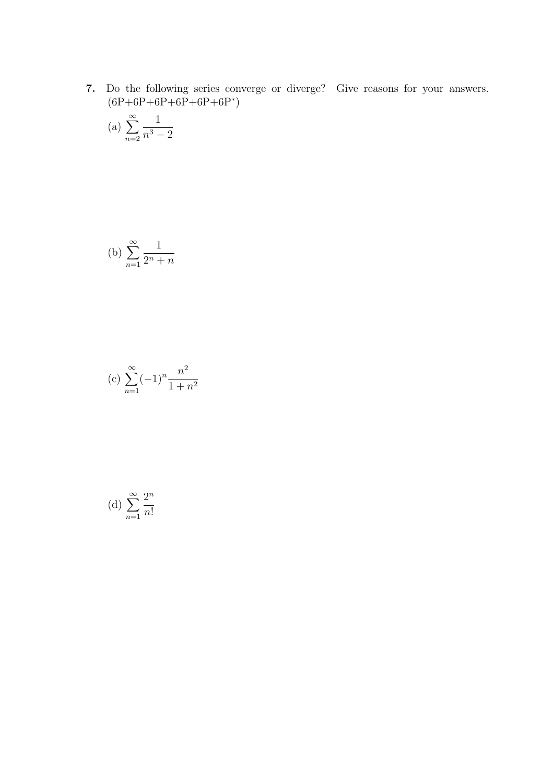7. Do the following series converge or diverge? Give reasons for your answers.  $(6P+6P+6P+6P+6P+6P^*)$ 

(a) 
$$
\sum_{n=2}^{\infty} \frac{1}{n^3 - 2}
$$

(b) 
$$
\sum_{n=1}^{\infty} \frac{1}{2^n + n}
$$

(c) 
$$
\sum_{n=1}^{\infty} (-1)^n \frac{n^2}{1 + n^2}
$$

(d) 
$$
\sum_{n=1}^{\infty} \frac{2^n}{n!}
$$